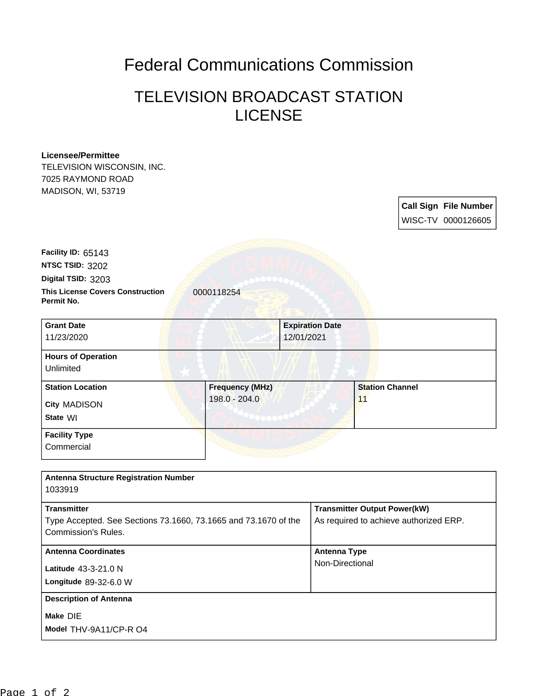## Federal Communications Commission

## TELEVISION BROADCAST STATION **LICENSE**

## **Licensee/Permittee**

TELEVISION WISCONSIN, INC. 7025 RAYMOND ROAD MADISON, WI, 53719

> **Call Sign File Number** WISC-TV 0000126605

**This License Covers Construction 10000118254 Permit No. Digital TSID:** 3203 **NTSC TSID:** 3202 **Facility ID:** 65143

| <b>Grant Date</b>         |                        | <b>Expiration Date</b> |
|---------------------------|------------------------|------------------------|
| 11/23/2020                |                        | 12/01/2021             |
| <b>Hours of Operation</b> |                        |                        |
| Unlimited                 |                        |                        |
| <b>Station Location</b>   | <b>Frequency (MHz)</b> | <b>Station Channel</b> |
| City MADISON              | $198.0 - 204.0$        | 11                     |
| State WI                  |                        |                        |
| <b>Facility Type</b>      |                        |                        |
| Commercial                |                        |                        |

| <b>Antenna Structure Registration Number</b>                                                                 |                                                                               |
|--------------------------------------------------------------------------------------------------------------|-------------------------------------------------------------------------------|
| 1033919                                                                                                      |                                                                               |
| <b>Transmitter</b><br>Type Accepted. See Sections 73.1660, 73.1665 and 73.1670 of the<br>Commission's Rules. | <b>Transmitter Output Power(kW)</b><br>As required to achieve authorized ERP. |
| <b>Antenna Coordinates</b><br>Latitude 43-3-21.0 N<br>Longitude $89-32-6.0 W$                                | <b>Antenna Type</b><br>Non-Directional                                        |
| <b>Description of Antenna</b><br>Make DIE<br>Model THV-9A11/CP-R O4                                          |                                                                               |